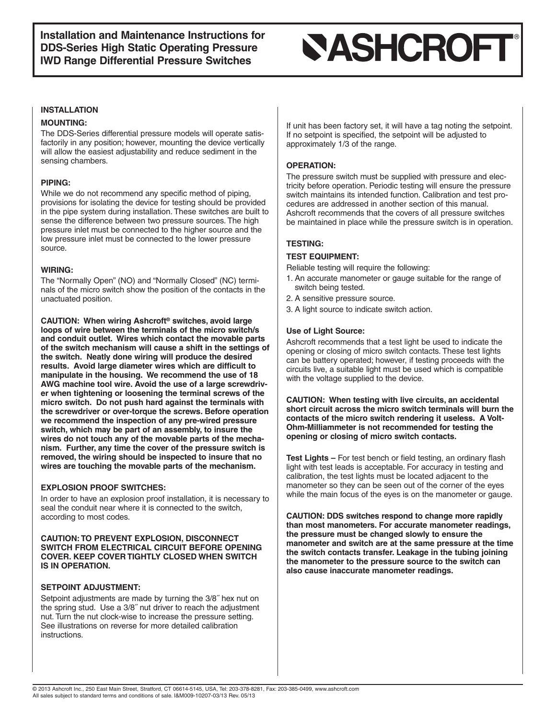## **SASHCROFT®**

### **INSTALLATION**

### **MOUNTING:**

The DDS-Series differential pressure models will operate satisfactorily in any position; however, mounting the device vertically will allow the easiest adjustability and reduce sediment in the sensing chambers.

### **PIPING:**

While we do not recommend any specific method of piping, provisions for isolating the device for testing should be provided in the pipe system during installation. These switches are built to sense the difference between two pressure sources. The high pressure inlet must be connected to the higher source and the low pressure inlet must be connected to the lower pressure source.

### **WIRING:**

The "Normally Open" (NO) and "Normally Closed" (NC) terminals of the micro switch show the position of the contacts in the unactuated position.

**CAUTION: When wiring Ashcroft® switches, avoid large loops of wire between the terminals of the micro switch/s and conduit outlet. Wires which contact the movable parts of the switch mechanism will cause a shift in the settings of the switch. Neatly done wiring will produce the desired results. Avoid large diameter wires which are difficult to manipulate in the housing. We recommend the use of 18 AWG machine tool wire. Avoid the use of a large screwdriver when tightening or loosening the terminal screws of the micro switch. Do not push hard against the terminals with the screwdriver or over-torque the screws. Before operation we recommend the inspection of any pre-wired pressure switch, which may be part of an assembly, to insure the wires do not touch any of the movable parts of the mechanism. Further, any time the cover of the pressure switch is removed, the wiring should be inspected to insure that no wires are touching the movable parts of the mechanism.**

### **EXPLOSION PROOF SWITCHES:**

In order to have an explosion proof installation, it is necessary to seal the conduit near where it is connected to the switch, according to most codes.

### **CAUTION:TO PREVENT EXPLOSION, DISCONNECT SWITCH FROM ELECTRICAL CIRCUIT BEFORE OPENING COVER. KEEP COVER TIGHTLY CLOSED WHEN SWITCH IS IN OPERATION.**

### **SETPOINT ADJUSTMENT:**

Setpoint adjustments are made by turning the 3/8˝ hex nut on the spring stud. Use a 3/8˝ nut driver to reach the adjustment nut. Turn the nut clock-wise to increase the pressure setting. See illustrations on reverse for more detailed calibration instructions.

If unit has been factory set, it will have a tag noting the setpoint. If no setpoint is specified, the setpoint will be adjusted to approximately 1/3 of the range.

### **OPERATION:**

The pressure switch must be supplied with pressure and electricity before operation. Periodic testing will ensure the pressure switch maintains its intended function. Calibration and test procedures are addressed in another section of this manual. Ashcroft recommends that the covers of all pressure switches be maintained in place while the pressure switch is in operation.

### **TESTING:**

## **TEST EQUIPMENT:**

Reliable testing will require the following:

- 1. An accurate manometer or gauge suitable for the range of switch being tested.
- 2. A sensitive pressure source.
- 3. A light source to indicate switch action.

### **Use of Light Source:**

Ashcroft recommends that a test light be used to indicate the opening or closing of micro switch contacts. These test lights can be battery operated; however, if testing proceeds with the circuits live, a suitable light must be used which is compatible with the voltage supplied to the device.

**CAUTION: When testing with live circuits, an accidental short circuit across the micro switch terminals will burn the contacts of the micro switch rendering it useless. A Volt-Ohm-Milliammeter is not recommended for testing the opening or closing of micro switch contacts.**

**Test Lights –** For test bench or field testing, an ordinary flash light with test leads is acceptable. For accuracy in testing and calibration, the test lights must be located adjacent to the manometer so they can be seen out of the corner of the eyes while the main focus of the eyes is on the manometer or gauge.

**CAUTION: DDS switches respond to change more rapidly than most manometers. For accurate manometer readings, the pressure must be changed slowly to ensure the manometer and switch are at the same pressure at the time the switch contacts transfer. Leakage in the tubing joining the manometer to the pressure source to the switch can also cause inaccurate manometer readings.**